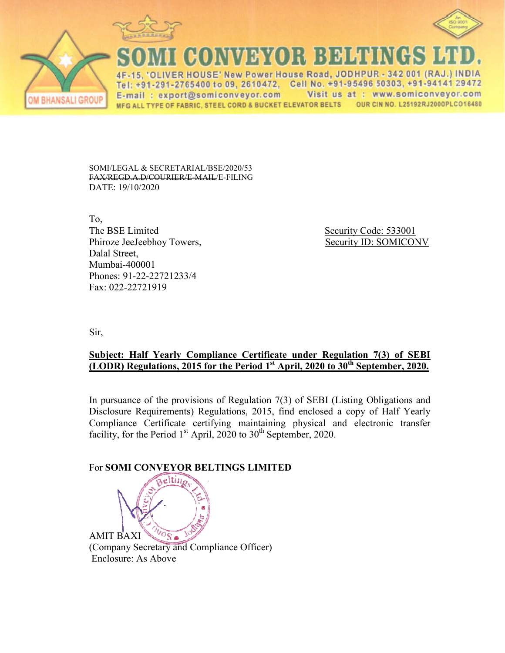



(\*)}}{()}} }}}}|**}** 

4F-15, 'OLIVER HOUSE' New Power House Road, JODHPUR - 342 001 (RAJ.) INDIA Tel: +91-291-2765400 to 09, 2610472, Cell No. +91-95496 50303, +91-94141 29472 Visit us at : www.somiconveyor.com E-mail: export@somiconveyor.com OUR CIN NO. L25192RJ2000PLC016480 MFG ALL TYPE OF FABRIC, STEEL CORD & BUCKET ELEVATOR BELTS

SOMI/LEGAL & SECRETARIAL/BSE/2020/53 FAX/REGD.A.D/COURIER/E ER/E-MAIL/E-FILING DATE: 19/10/2020

To, The BSE Limited Phiroze JeeJeebhoy Towers. Dalal Street, Mumbai-400001 Phones: 91-22-22721233/4 1233/4Fax: 022-22721919

Security Code: 533001 Towers, Security ID: SOMICONV

Sir,

**BHANSALI GROUP** 

## **<u>Subject: Half Yearly Compliance Certificate under Regulation 7(3) of SEBI</u> (LODR)** Regulations, 2015 for the Period 1<sup>st</sup> April, 2020 to 30<sup>th</sup> September, 2020.

In pursuance of the provisions of Regulation  $7(3)$  of SEBI (Listing Obligations and Disclosure Requirements) Regulations, 2015, find enclosed a copy of Half Yearly Compliance Certificate certifying maintaining physical and electronic transfer facility, for the Period  $1<sup>st</sup>$  April, 2020 to 30<sup>th</sup> September, 2020.

## **For SOMI CONVEYOR BELTINGS LIMITED**

eltin AMIT BAXI (Company Secretary and C Compliance Officer) Enclosure: As Above